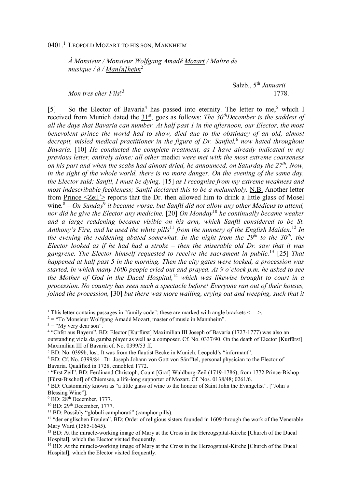## 0401.<sup>1</sup> Leopold Mozart to his son, Mannheim

*À Monsieur / Monsieur Wolfgang Amadé Mozart / Maître de musique / à / Man[n]heim*<sup>2</sup>

*Mon tres cher Fils*! 3

Salzb., 5th *Januarii* 1778.

[5] So the Elector of Bavaria<sup>4</sup> has passed into eternity. The letter to me,<sup>5</sup> which I received from Munich dated the 31st, goes as follows: *The 30thDecember is the saddest of all the days that Bavaria can number. At half past 1 in the afternoon, our Elector, the most benevolent prince the world had to show, died due to the obstinacy of an old, almost decrepit, misled medical practitioner in the figure of Dr. Sanftel,*<sup>6</sup>  *now hated throughout Bavaria.* [10] *He conducted the complete treatment, as I have already indicated in my previous letter, entirely alone: all other* medici *were met with the most extreme coarseness on his part and when the scabs had almost dried, he announced, on Saturday the 27th, Now, in the sight of the whole world, there is no more danger. On the evening of the same day, the Elector said: Sanftl, I must be dying,* [15] *as I recognise from my extreme weakness and most indescribable feebleness; Sanftl declared this to be a melancholy.* N.B. Another letter from Prince  $\langle Zeil^{\prime}\rangle$  reports that the Dr. then allowed him to drink a little glass of Mosel wine.<sup>8</sup> – On Sunday<sup>9</sup> it became worse, but Sanftl did not allow any other Medicus to attend, *nor did he give the Elector any medicine.* [20] *On Monday*<sup>10</sup> *he continually became weaker and a large reddening became visible on his arm, which Sanftl considered to be St. Anthony's Fire, and he used the white pills*<sup>11</sup> *from the nunnery of the English Maiden.*<sup>12</sup> *In the evening the reddening abated somewhat. In the night from the 29th to the 30th, the Elector looked as if he had had a stroke – then the miserable old Dr. saw that it was gangrene. The Elector himself requested to receive the sacrament in public.*<sup>13</sup> [25] *That happened at half past 5 in the morning. Then the city gates were locked, a procession was started, in which many 1000 people cried out and prayed. At 9 o'clock p.m. he asked to see the Mother of God in the Ducal Hospital,*<sup>14</sup> *which was likewise brought to court in a procession. No country has seen such a spectacle before! Everyone ran out of their houses, joined the procession,* [30] *but there was more wailing, crying out and weeping, such that it* 

<sup>&</sup>lt;sup>1</sup> This letter contains passages in "family code"; these are marked with angle brackets < >.

 $2 =$  "To Monsieur Wolfgang Amadé Mozart, master of music in Mannheim".

 $3 =$  "My very dear son".

<sup>&</sup>lt;sup>4</sup> "Chfst aus Bayern". BD: Elector [Kurfürst] Maximilian III Joseph of Bavaria (1727-1777) was also an outstanding viola da gamba player as well as a composer. Cf. No. 0337/90. On the death of Elector [Kurfürst] Maximilian III of Bavaria cf. No. 0399/53 ff.

<sup>&</sup>lt;sup>5</sup> BD: No. 0399b, lost. It was from the flautist Becke in Munich, Leopold's "informant".

<sup>6</sup> BD: Cf. No. 0399/84 . Dr. Joseph Johann von Gott von Sänfftel, personal physician to the Elector of Bavaria. Qualified in 1728, ennobled 1772.

<sup>&</sup>lt;sup>7</sup> "Frst Zeil". BD: Ferdinand Christoph, Count [Graf] Waldburg-Zeil (1719-1786), from 1772 Prince-Bishop [Fürst-Bischof] of Chiemsee, a life-long supporter of Mozart. Cf. Nos. 0138/48; 0261/6.

<sup>&</sup>lt;sup>8</sup> BD: Customarily known as "a little glass of wine to the honour of Saint John the Evangelist". ["John's Blessing Wine"].

<sup>&</sup>lt;sup>9</sup> BD: 28<sup>th</sup> December, 1777.

 $10$  BD:  $29<sup>th</sup>$  December, 1777.

<sup>&</sup>lt;sup>11</sup> BD: Possibly "globuli camphorati" (camphor pills).

<sup>&</sup>lt;sup>12</sup> "der englischen Freulen". BD: Order of religious sisters founded in 1609 through the work of the Venerable Mary Ward (1585-1645).

<sup>&</sup>lt;sup>13</sup> BD: At the miracle-working image of Mary at the Cross in the Herzogspital-Kirche [Church of the Ducal Hospital], which the Elector visited frequently.

<sup>&</sup>lt;sup>14</sup> BD: At the miracle-working image of Mary at the Cross in the Herzogspital-Kirche [Church of the Ducal Hospital], which the Elector visited frequently.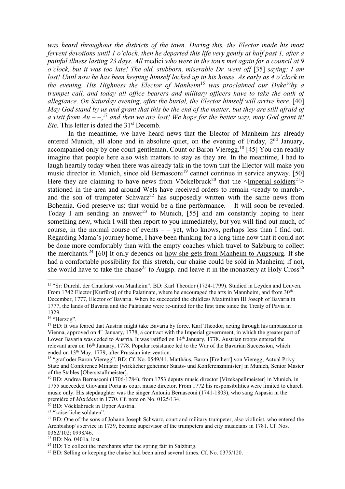*was heard throughout the districts of the town. During this, the Elector made his most fervent devotions until 1 o'clock, then he departed this life very gently at half past 1, after a painful illness lasting 23 days. All* medici *who were in the town met again for a council at 9 o'clock, but it was too late! The old, stubborn, miserable Dr. went off* [35] *saying: I am lost! Until now he has been keeping himself locked up in his house. As early as 4 o'clock in the evening, His Highness the Elector of Manheim*<sup>15</sup> *was proclaimed our Duke*<sup>16</sup>*by a trumpet call, and today all office bearers and military officers have to take the oath of*  allegiance. On Saturday evening, after the burial, the Elector himself will arrive here. [40] *May God stand by us and grant that this be the end of the matter, but they are still afraid of a visit from Au – –*, <sup>17</sup> *and then we are lost! We hope for the better way, may God grant it! Etc.* This letter is dated the 31<sup>st</sup> Decemb.

In the meantime, we have heard news that the Elector of Manheim has already entered Munich, all alone and in absolute quiet, on the evening of Friday,  $2<sup>nd</sup>$  January, accompanied only by one court gentleman, Count or Baron Vieregg.<sup>18</sup> [45] You can readily imagine that people here also wish matters to stay as they are. In the meantime, I had to laugh heartily today when there was already talk in the town that the Elector will make you music director in Munich, since old Bernasconi<sup>19</sup> cannot continue in service anyway. [50] Here they are claiming to have news from Vöckelbruck<sup>20</sup> that the  $\leq$ Imperial soldiers<sup>21</sup>> stationed in the area and around Wels have received orders to remain <ready to march>. and the son of trumpeter Schwarz<sup>22</sup> has supposedly written with the same news from Bohemia. God preserve us: that would be a fine performance. – It will soon be revealed. Today I am sending an answer<sup>23</sup> to Munich, [55] and am constantly hoping to hear something new, which I will then report to you immediately, but you will find out much, of course, in the normal course of events  $-$  - yet, who knows, perhaps less than I find out. Regarding Mama's journey home, I have been thinking for a long time now that it could not be done more comfortably than with the empty coaches which travel to Salzburg to collect the merchants.<sup>24</sup> [60] It only depends on how she gets from Manheim to Augspurg. If she had a comfortable possibility for this stretch, our chaise could be sold in Manheim; if not, she would have to take the chaise<sup>25</sup> to Augsp. and leave it in the monastery at Holy Cross<sup>26</sup>

 $\overline{a}$ 

<sup>15</sup> "Sr: Durchl. der Churfürst von Manheim". BD: Karl Theodor (1724-1799). Studied in Leyden and Leuven. From 1742 Elector [Kurfürst] of the Palatinate, where he encouraged the arts in Mannheim, and from 30<sup>th</sup> December, 1777, Elector of Bavaria. When he succeeded the childless Maximilian III Joseph of Bavaria in 1777, the lands of Bavaria and the Palatinate were re-united for the first time since the Treaty of Pavia in 1329.

<sup>16 &</sup>quot;Herzog".

<sup>&</sup>lt;sup>17</sup> BD: It was feared that Austria might take Bavaria by force. Karl Theodor, acting through his ambassador in Vienna, approved on 4<sup>th</sup> January, 1778, a contract with the Imperial government, in which the greater part of Lower Bavaria was ceded to Austria. It was ratified on 14<sup>th</sup> January, 1778. Austrian troops entered the relevant area on 16<sup>th</sup> January, 1778. Popular resistance led to the War of the Bavarian Succession, which ended on 13<sup>th</sup> May, 1779, after Prussian intervention.

<sup>18</sup> "graf oder Baron Vieregg". BD: Cf. No. 0549/41. Matthäus, Baron [Freiherr] von Vieregg, Actual Privy State and Conference Minister [wirklicher geheimer Staats- und Konferenzminister] in Munich, Senior Master of the Stables [Oberststallmeister].

<sup>19</sup> BD: Andrea Bernasconi (1706-1784), from 1753 deputy music director [Vizekapellmeister] in Munich, in 1755 succeeded Giovanni Porta as court music director. From 1772 his responsibilities were limited to church music only. His stepdaughter was the singer Antonia Bernasconi (1741-1803), who sang Aspasia in the première of *Mitridate* in 1770. Cf. note on No. 0125/134.

<sup>20</sup> BD: Vöcklabruck in Upper Austria.

<sup>21</sup> "kaiserliche soldaten".

<sup>&</sup>lt;sup>22</sup> BD: One of the sons of Johann Joseph Schwarz, court and military trumpeter, also violinist, who entered the Archbishop's service in 1739, became supervisor of the trumpeters and city musicians in 1781. Cf. Nos. 0362/102; 0998/46.

<sup>23</sup> BD: No. 0401a, lost.

<sup>&</sup>lt;sup>24</sup> BD: To collect the merchants after the spring fair in Salzburg.

<sup>&</sup>lt;sup>25</sup> BD: Selling or keeping the chaise had been aired several times. Cf. No. 0375/120.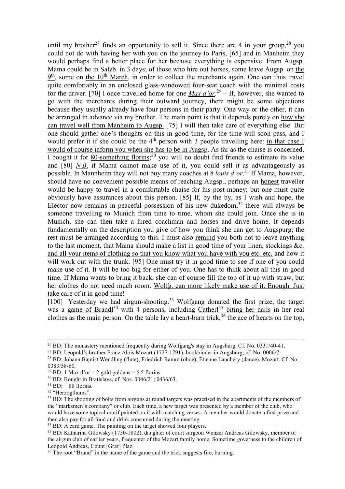until my brother<sup>27</sup> finds an opportunity to sell it. Since there are 4 in your group,<sup>28</sup> you could not do with having her with you on the journey to Paris, [65] and in Manheim they would perhaps find a better place for her because everything is expensive. From Augsp. Mama could be in Salzb. in 3 days; of those who hire out horses, some leave Augsp. on the  $9<sup>th</sup>$ , some on the 10<sup>th</sup> March, in order to collect the merchants again. One can thus travel quite comfortably in an enclosed glass-windowed four-seat coach with the minimal costs for the driver. [70] I once travelled home for one *Max d'or*. <sup>29</sup> – If, however, she wanted to go with the merchants during their outward journey, there might be some objections because they usually already have four persons in their party. One way or the other, it can be arranged in advance via my brother. The main point is that it depends purely on how she can travel well from Manheim to Augsp. [75] I will then take care of everything else. But one should gather one's thoughts on this in good time, for the time will soon pass, and I would prefer it if she could be the 4<sup>th</sup> person with 3 people travelling here: in that case I would of course inform you when she has to be in Augsp. As far as the chaise is concerned, I bought it for 80-something florins;<sup>30</sup> you will no doubt find friends to estimate its value and [80] *N.B*. if Mama cannot make use of it, you could sell it as advantageously as possible. In Mannheim they will not buy many coaches at 8 *louis d'or*. <sup>31</sup> If Mama, however, should have no convenient possible means of reaching Augsp., perhaps an honest traveller would be happy to travel in a comfortable chaise for his post-money; but one must quite obviously have assurances about this person. [85] If, by the by, as I wish and hope, the Elector now remains in peaceful possession of his new dukedom, $32$  there will always be someone travelling to Munich from time to time, whom she could join. Once she is in Munich, she can then take a hired coachman and horses and drive home. It depends fundamentally on the description you give of how you think she can get to Augspurg; the rest must be arranged according to this. I must also remind you both not to leave anything to the last moment, that Mama should make a list in good time of your linen, stockings &c. and all your items of clothing so that you know what you have with you etc. etc. and how it will work out with the trunk. [95] One must try it in good time to see if one of you could make use of it. It will be too big for either of you. One has to think about all this in good time. If Mama wants to bring it back, she can of course fill the top of it up with straw, but her clothes do not need much room. Wolfg. can more likely make use of it. Enough. Just take care of it in good time!

[100] Yesterday we had airgun-shooting.<sup>33</sup> Wolfgang donated the first prize, the target was a game of Brandl<sup>34</sup> with 4 persons, including Catherl<sup>35</sup> biting her nails in her real clothes as the main person. On the table lay a heart-burn trick,  $36$  the ace of hearts on the top,

 $\overline{a}$ 

<sup>&</sup>lt;sup>26</sup> BD: The monastery mentioned frequently during Wolfgang's stay in Augsburg. Cf. No. 0331/40-41.

<sup>&</sup>lt;sup>27</sup> BD: Leopold's brother Franz Alois Mozart (1727-1791), bookbinder in Augsburg; cf. No. 0006/7.

<sup>28</sup> BD: Johann Baptist Wendling (flute), Friedrich Ramm (oboe), Étienne Lauchéry (dance), Mozart. Cf. No. 0383/58-60.

<sup>&</sup>lt;sup>29</sup> BD: 1 Max d'or = 2 gold guldens = 6.5 florins.

<sup>30</sup> BD: Bought in Bratislava, cf. Nos. 0046/21; 0436/63.

 $31$  BD: = 88 florins.

<sup>&</sup>lt;sup>32</sup> "Herzogthums".

<sup>&</sup>lt;sup>33</sup> BD: The shooting of bolts from airguns at round targets was practised in the apartments of the members of the "marksmen's company" or club. Each time, a new target was presented by a member of the club, who would have some topical motif painted on it with matching verses. A member would donate a first prize and then also pay for all food and drink consumed during the meeting.

<sup>&</sup>lt;sup>34</sup> BD: A card game. The painting on the target showed four players.

<sup>35</sup> BD: Katharina Gilowsky (1750-1802), daughter of court surgeon Wenzel Andreas Gilowsky, member of the airgun club of earlier years, frequenter of the Mozart family home. Sometime governess to the children of Leopold Andreas, Count [Graf] Plaz.

<sup>&</sup>lt;sup>36</sup> The root "Brand" in the name of the game and the trick suggests fire, burning.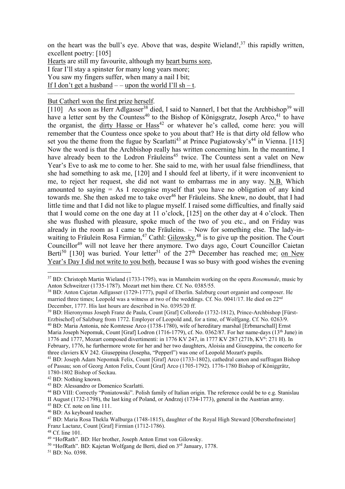on the heart was the bull's eye. Above that was, despite Wieland!, $37$  this rapidly written, excellent poetry: [105]

–––––––––––––––––––––––––––––––––––––––––––––––––––––––––––––––––––––––

Hearts are still my favourite, although my heart burns sore, I fear I'll stay a spinster for many long years more; You saw my fingers suffer, when many a nail I bit; If I don't get a husband  $-$  – upon the world I'll sh – t.

## But Catherl won the first prize herself.

[110] As soon as Herr Adlgasser<sup>38</sup> died, I said to Nannerl, I bet that the Archbishop<sup>39</sup> will have a letter sent by the Countess<sup>40</sup> to the Bishop of Königsgratz, Joseph Arco,<sup>41</sup> to have the organist, the dirty Hasse or  $Hass^{42}$  or whatever he's called, come here: you will remember that the Countess once spoke to you about that? He is that dirty old fellow who set you the theme from the fugue by Scarlatti<sup>43</sup> at Prince Pugiatowsky's<sup>44</sup> in Vienna. [115] Now the word is that the Archbishop really has written concerning him. In the meantime, I have already been to the Lodron Fräuleins<sup>45</sup> twice. The Countess sent a valet on New Year's Eve to ask me to come to her. She said to me, with her usual false friendliness, that she had something to ask me, [120] and I should feel at liberty, if it were inconvenient to me, to reject her request, she did not want to embarrass me in any way. N.B. Which amounted to saying  $= As I$  recognise myself that you have no obligation of any kind towards me. She then asked me to take over<sup>46</sup> her Fräuleins. She knew, no doubt, that I had little time and that I did not like to plague myself. I raised some difficulties, and finally said that I would come on the one day at 11 o'clock, [125] on the other day at 4 o'clock. Then she was flushed with pleasure, spoke much of the two of you etc., and on Friday was already in the room as I came to the Fräuleins. – Now for something else. The lady-inwaiting to Fräulein Rosa Firmian,<sup>47</sup> Cathl: Gilowsky,<sup>48</sup> is to give up the position. The Court Councillor<sup>49</sup> will not leave her there anymore. Two days ago, Court Councillor Caietan Berti<sup>50</sup> [130] was buried. Your letter<sup>51</sup> of the  $27<sup>th</sup>$  December has reached me; <u>on New</u> Year's Day I did not write to you both, because I was so busy with good wishes the evening

39 BD: Hieronymus Joseph Franz de Paula, Count [Graf] Colloredo (1732-1812), Prince-Archbishop [Fürst-Erzbischof] of Salzburg from 1772. Employer of Leopold and, for a time, of Wolfgang. Cf. No. 0263/9.

<sup>41</sup> BD: Joseph Adam Nepomuk Felix, Count [Graf] Arco (1733-1802), cathedral canon and suffragan Bishop of Passau; son of Georg Anton Felix, Count [Graf] Arco (1705-1792). 1776-1780 Bishop of Königgrätz, 1780-1802 Bishop of Seckau.

<sup>42</sup> BD: Nothing known.

 $\overline{a}$ 

51 BD: No. 0398.

<sup>37</sup> BD: Christoph Martin Wieland (1733-1795), was in Mannheim working on the opera *Rosemunde*, music by Anton Schweitzer (1735-1787). Mozart met him there. Cf. No. 0385/55.

<sup>38</sup> BD: Anton Cajetan Adlgasser (1729-1777), pupil of Eberlin. Salzburg court organist and composer. He married three times; Leopold was a witness at two of the weddings. Cf. No. 0041/17. He died on 22<sup>nd</sup> December, 1777. His last hours are described in No. 0395/20 ff.

<sup>40</sup> BD: Maria Antonia, née Komtesse Arco (1738-1780), wife of hereditary marshal [Erbmarschall] Ernst Maria Joseph Nepomuk, Count [Graf] Lodron (1716-1779), cf. No. 0362/87. For her name-days (13<sup>th</sup> June) in 1776 and 1777, Mozart composed divertimenti: in 1776 KV 247, in 1777 KV 287 (271b, KV<sup>6</sup>: 271 H). In February, 1776, he furthermore wrote for her and her two daughters, Aloisia and Giuseppina, the concerto for three claviers KV 242. Giuseppina (Josepha, "Pepperl") was one of Leopold Mozart's pupils.

<sup>43</sup> BD: Alessandro or Domenico Scarlatti.

<sup>44</sup> BD VIII: Correctly "Poniatowski". Polish family of Italian origin. The reference could be to e.g. Stanislau

II August (1732-1798), the last king of Poland, or Andrzej (1734-1773), general in the Austrian army.

 $45$  BD: Cf. note on line 111.

<sup>46</sup> BD: As keyboard teacher.

<sup>47</sup> BD: Maria Rosa Thekla Walburga (1748-1815), daughter of the Royal High Steward [Obersthofmeister] Franz Lactanz, Count [Graf] Firmian (1712-1786).

<sup>48</sup> Cf. line 101.

<sup>49</sup> "HofRath". BD: Her brother, Joseph Anton Ernst von Gilowsky.

<sup>&</sup>lt;sup>50</sup> "HofRath". BD: Kajetan Wolfgang de Berti, died on 3<sup>rd</sup> January, 1778.